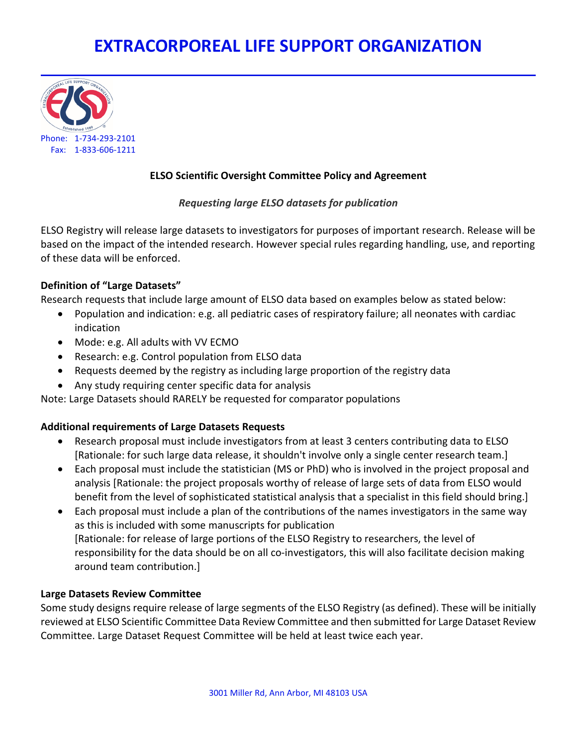# **EXTRACORPOREAL LIFE SUPPORT ORGANIZATION**



## **ELSO Scientific Oversight Committee Policy and Agreement**

## *Requesting large ELSO datasets for publication*

ELSO Registry will release large datasets to investigators for purposes of important research. Release will be based on the impact of the intended research. However special rules regarding handling, use, and reporting of these data will be enforced.

## **Definition of "Large Datasets"**

Research requests that include large amount of ELSO data based on examples below as stated below:

- Population and indication: e.g. all pediatric cases of respiratory failure; all neonates with cardiac indication
- Mode: e.g. All adults with VV ECMO
- Research: e.g. Control population from ELSO data
- Requests deemed by the registry as including large proportion of the registry data
- Any study requiring center specific data for analysis

Note: Large Datasets should RARELY be requested for comparator populations

## **Additional requirements of Large Datasets Requests**

- Research proposal must include investigators from at least 3 centers contributing data to ELSO [Rationale: for such large data release, it shouldn't involve only a single center research team.]
- Each proposal must include the statistician (MS or PhD) who is involved in the project proposal and analysis [Rationale: the project proposals worthy of release of large sets of data from ELSO would benefit from the level of sophisticated statistical analysis that a specialist in this field should bring.]
- Each proposal must include a plan of the contributions of the names investigators in the same way as this is included with some manuscripts for publication [Rationale: for release of large portions of the ELSO Registry to researchers, the level of responsibility for the data should be on all co-investigators, this will also facilitate decision making around team contribution.]

## **Large Datasets Review Committee**

Some study designs require release of large segments of the ELSO Registry (as defined). These will be initially reviewed at ELSO Scientific Committee Data Review Committee and then submitted for Large Dataset Review Committee. Large Dataset Request Committee will be held at least twice each year.